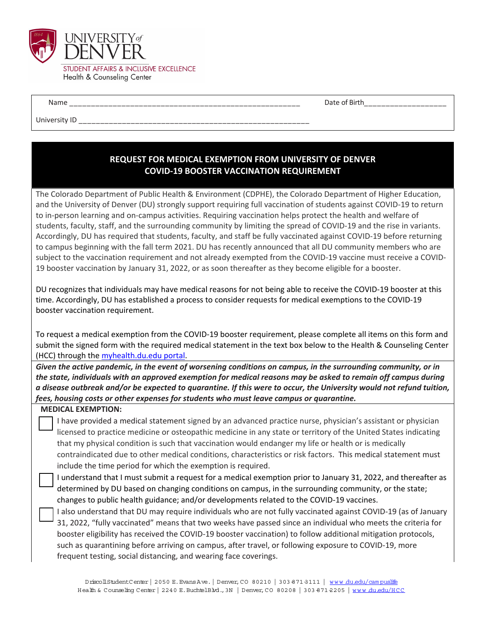

Name \_\_\_\_\_\_\_\_\_\_\_\_\_\_\_\_\_\_\_\_\_\_\_\_\_\_\_\_\_\_\_\_\_\_\_\_\_\_\_\_\_\_\_\_\_\_\_\_\_\_\_\_\_ Date of Birth\_\_\_\_\_\_\_\_\_\_\_\_\_\_\_\_\_\_\_

University ID

## **REQUEST FOR MEDICAL EXEMPTION FROM UNIVERSITY OF DENVER COVID‐19 BOOSTER VACCINATION REQUIREMENT**

The Colorado Department of Public Health & Environment (CDPHE), the Colorado Department of Higher Education, and the University of Denver (DU) strongly support requiring full vaccination of students against COVID‐19 to return to in-person learning and on-campus activities. Requiring vaccination helps protect the health and welfare of students, faculty, staff, and the surrounding community by limiting the spread of COVID-19 and the rise in variants. Accordingly, DU has required that students, faculty, and staff be fully vaccinated against COVID‐19 before returning to campus beginning with the fall term 2021. DU has recently announced that all DU community members who are subject to the vaccination requirement and not already exempted from the COVID‐19 vaccine must receive a COVID‐ 19 booster vaccination by January 31, 2022, or as soon thereafter as they become eligible for a booster.

DU recognizes that individuals may have medical reasons for not being able to receive the COVID‐19 booster at this time. Accordingly, DU has established a process to consider requests for medical exemptions to the COVID‐19 booster vaccination requirement.

To request a medical exemption from the COVID‐19 booster requirement, please complete all items on this form and submit the signed form with the required medical statement in the text box below to the Health & Counseling Center (HCC) through the myhealth.du.edu portal.

Given the active pandemic, in the event of worsening conditions on campus, in the surrounding community, or in the state, individuals with an approved exemption for medical reasons may be asked to remain off campus during a disease outbreak and/or be expected to quarantine. If this were to occur, the University would not refund tuition, *fees, housing costs or other expenses for students who must leave campus or quarantine.* 

## **MEDICAL EXEMPTION:**

 I have provided a medical statement signed by an advanced practice nurse, physician's assistant or physician licensed to practice medicine or osteopathic medicine in any state or territory of the United States indicating that my physical condition is such that vaccination would endanger my life or health or is medically contraindicated due to other medical conditions, characteristics or risk factors. This medical statement must include the time period for which the exemption is required.

- I understand that I must submit a request for a medical exemption prior to January 31, 2022, and thereafter as determined by DU based on changing conditions on campus, in the surrounding community, or the state; changes to public health guidance; and/or developments related to the COVID‐19 vaccines.
- I also understand that DU may require individuals who are not fully vaccinated against COVID‐19 (as of January 31, 2022, "fully vaccinated" means that two weeks have passed since an individual who meets the criteria for booster eligibility has received the COVID‐19 booster vaccination) to follow additional mitigation protocols, such as quarantining before arriving on campus, after travel, or following exposure to COVID‐19, more frequent testing, social distancing, and wearing face coverings.